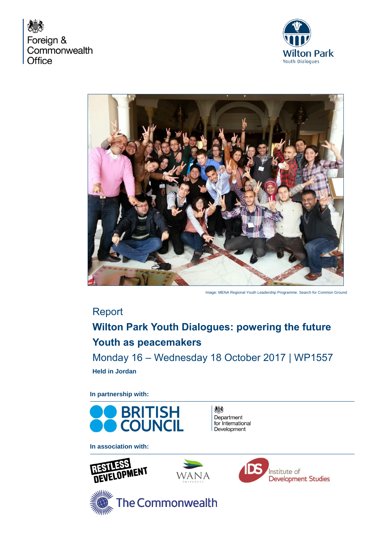





Image: MENA Regional Youth Leadership Programme. Search for Common Ground

# Report

# **Wilton Park Youth Dialogues: powering the future Youth as peacemakers**

Monday 16 – Wednesday 18 October 2017 | WP1557 **Held in Jordan**

**In partnership with:**



鴓 Department for International Development

**In association with:**









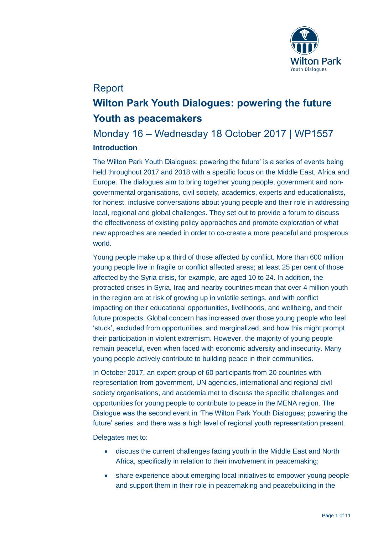

# Report

# **Wilton Park Youth Dialogues: powering the future Youth as peacemakers**

# Monday 16 – Wednesday 18 October 2017 | WP1557 **Introduction**

The Wilton Park Youth Dialogues: powering the future' is a series of events being held throughout 2017 and 2018 with a specific focus on the Middle East, Africa and Europe. The dialogues aim to bring together young people, government and nongovernmental organisations, civil society, academics, experts and educationalists, for honest, inclusive conversations about young people and their role in addressing local, regional and global challenges. They set out to provide a forum to discuss the effectiveness of existing policy approaches and promote exploration of what new approaches are needed in order to co-create a more peaceful and prosperous world.

Young people make up a third of those affected by conflict. More than 600 million young people live in fragile or conflict affected areas; at least 25 per cent of those affected by the Syria crisis, for example, are aged 10 to 24. In addition, the protracted crises in Syria, Iraq and nearby countries mean that over 4 million youth in the region are at risk of growing up in volatile settings, and with conflict impacting on their educational opportunities, livelihoods, and wellbeing, and their future prospects. Global concern has increased over those young people who feel 'stuck', excluded from opportunities, and marginalized, and how this might prompt their participation in violent extremism. However, the majority of young people remain peaceful, even when faced with economic adversity and insecurity. Many young people actively contribute to building peace in their communities.

In October 2017, an expert group of 60 participants from 20 countries with representation from government, UN agencies, international and regional civil society organisations, and academia met to discuss the specific challenges and opportunities for young people to contribute to peace in the MENA region. The Dialogue was the second event in 'The Wilton Park Youth Dialogues; powering the future' series, and there was a high level of regional youth representation present.

Delegates met to:

- discuss the current challenges facing youth in the Middle East and North Africa, specifically in relation to their involvement in peacemaking;
- share experience about emerging local initiatives to empower young people and support them in their role in peacemaking and peacebuilding in the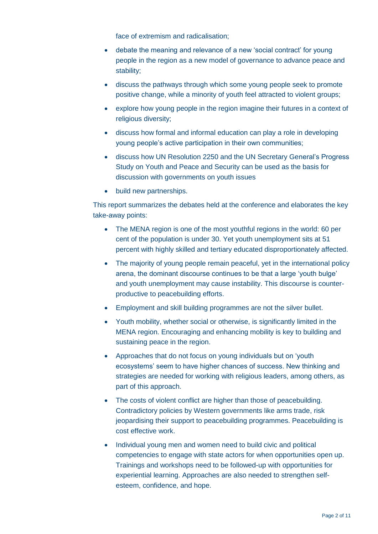face of extremism and radicalisation;

- debate the meaning and relevance of a new 'social contract' for young people in the region as a new model of governance to advance peace and stability;
- discuss the pathways through which some young people seek to promote positive change, while a minority of youth feel attracted to violent groups;
- explore how young people in the region imagine their futures in a context of religious diversity;
- discuss how formal and informal education can play a role in developing young people's active participation in their own communities;
- discuss how UN Resolution 2250 and the UN Secretary General's Progress Study on Youth and Peace and Security can be used as the basis for discussion with governments on youth issues
- build new partnerships.

This report summarizes the debates held at the conference and elaborates the key take-away points:

- The MENA region is one of the most youthful regions in the world: 60 per cent of the population is under 30. Yet youth unemployment sits at 51 percent with highly skilled and tertiary educated disproportionately affected.
- The majority of young people remain peaceful, yet in the international policy arena, the dominant discourse continues to be that a large 'youth bulge' and youth unemployment may cause instability. This discourse is counterproductive to peacebuilding efforts.
- Employment and skill building programmes are not the silver bullet.
- Youth mobility, whether social or otherwise, is significantly limited in the MENA region. Encouraging and enhancing mobility is key to building and sustaining peace in the region.
- Approaches that do not focus on young individuals but on 'youth ecosystems' seem to have higher chances of success. New thinking and strategies are needed for working with religious leaders, among others, as part of this approach.
- The costs of violent conflict are higher than those of peacebuilding. Contradictory policies by Western governments like arms trade, risk jeopardising their support to peacebuilding programmes. Peacebuilding is cost effective work.
- Individual young men and women need to build civic and political competencies to engage with state actors for when opportunities open up. Trainings and workshops need to be followed-up with opportunities for experiential learning. Approaches are also needed to strengthen selfesteem, confidence, and hope.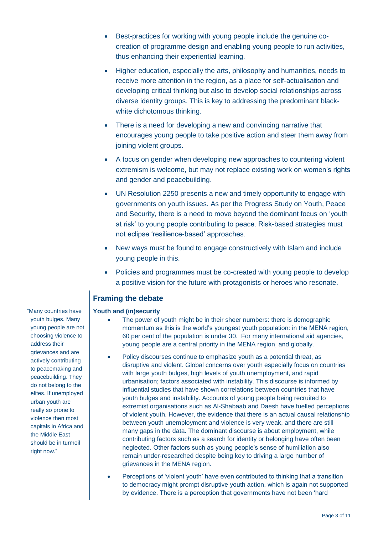- Best-practices for working with young people include the genuine cocreation of programme design and enabling young people to run activities, thus enhancing their experiential learning.
- Higher education, especially the arts, philosophy and humanities, needs to receive more attention in the region, as a place for self-actualisation and developing critical thinking but also to develop social relationships across diverse identity groups. This is key to addressing the predominant blackwhite dichotomous thinking.
- There is a need for developing a new and convincing narrative that encourages young people to take positive action and steer them away from joining violent groups.
- A focus on gender when developing new approaches to countering violent extremism is welcome, but may not replace existing work on women's rights and gender and peacebuilding.
- UN Resolution 2250 presents a new and timely opportunity to engage with governments on youth issues. As per the Progress Study on Youth, Peace and Security, there is a need to move beyond the dominant focus on 'youth at risk' to young people contributing to peace. Risk-based strategies must not eclipse 'resilience-based' approaches.
- New ways must be found to engage constructively with Islam and include young people in this.
- Policies and programmes must be co-created with young people to develop a positive vision for the future with protagonists or heroes who resonate.

## **Framing the debate**

#### **Youth and (in)security**

- The power of youth might be in their sheer numbers: there is demographic momentum as this is the world's youngest youth population: in the MENA region, 60 per cent of the population is under 30. For many international aid agencies, young people are a central priority in the MENA region, and globally.
- Policy discourses continue to emphasize youth as a potential threat, as disruptive and violent. Global concerns over youth especially focus on countries with large youth bulges, high levels of youth unemployment, and rapid urbanisation; factors associated with instability. This discourse is informed by influential studies that have shown correlations between countries that have youth bulges and instability. Accounts of young people being recruited to extremist organisations such as Al-Shabaab and Daesh have fuelled perceptions of violent youth. However, the evidence that there is an actual causal relationship between youth unemployment and violence is very weak, and there are still many gaps in the data. The dominant discourse is about employment, while contributing factors such as a search for identity or belonging have often been neglected. Other factors such as young people's sense of humiliation also remain under-researched despite being key to driving a large number of grievances in the MENA region.
- Perceptions of 'violent youth' have even contributed to thinking that a transition to democracy might prompt disruptive youth action, which is again not supported by evidence. There is a perception that governments have not been 'hard

"Many countries have youth bulges. Many young people are not choosing violence to address their grievances and are actively contributing to peacemaking and peacebuilding. They do not belong to the elites. If unemployed urban youth are really so prone to violence then most capitals in Africa and the Middle East should be in turmoil right now."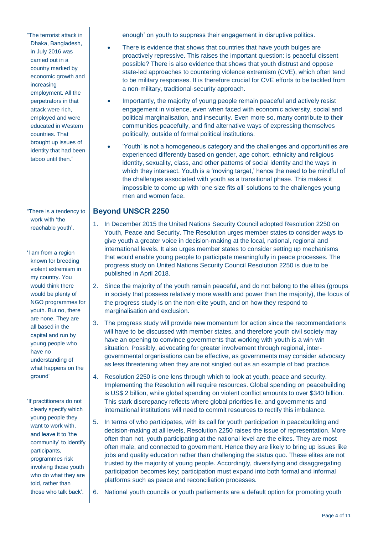"The terrorist attack in Dhaka, Bangladesh, in July 2016 was carried out in a country marked by economic growth and increasing employment. All the perpetrators in that attack were rich, employed and were educated in Western countries. That brought up issues of identity that had been taboo until then."

"There is a tendency to work with 'the reachable youth'.

'I am from a region known for breeding violent extremism in my country. You would think there would be plenty of NGO programmes for youth. But no, there are none. They are all based in the capital and run by young people who have no understanding of what happens on the ground'

'If practitioners do not clearly specify which young people they want to work with, and leave it to 'the community' to identify participants, programmes risk involving those youth who do what they are told, rather than those who talk back'.

enough' on youth to suppress their engagement in disruptive politics.

- There is evidence that shows that countries that have youth bulges are proactively repressive. This raises the important question: is peaceful dissent possible? There is also evidence that shows that youth distrust and oppose state-led approaches to countering violence extremism (CVE), which often tend to be military responses. It is therefore crucial for CVE efforts to be tackled from a non-military, traditional-security approach.
- Importantly, the majority of young people remain peaceful and actively resist engagement in violence, even when faced with economic adversity, social and political marginalisation, and insecurity. Even more so, many contribute to their communities peacefully, and find alternative ways of expressing themselves politically, outside of formal political institutions.
- 'Youth' is not a homogeneous category and the challenges and opportunities are experienced differently based on gender, age cohort, ethnicity and religious identity, sexuality, class, and other patterns of social identity and the ways in which they intersect. Youth is a 'moving target,' hence the need to be mindful of the challenges associated with youth as a transitional phase. This makes it impossible to come up with 'one size fits all' solutions to the challenges young men and women face.

### **Beyond UNSCR 2250**

- 1. In December 2015 the United Nations Security Council adopted Resolution 2250 on Youth, Peace and Security. The Resolution urges member states to consider ways to give youth a greater voice in decision-making at the local, national, regional and international levels. It also urges member states to consider setting up mechanisms that would enable young people to participate meaningfully in peace processes. The progress study on United Nations Security Council Resolution 2250 is due to be published in April 2018.
- 2. Since the majority of the youth remain peaceful, and do not belong to the elites (groups in society that possess relatively more wealth and power than the majority), the focus of the progress study is on the non-elite youth, and on how they respond to marginalisation and exclusion.
- 3. The progress study will provide new momentum for action since the recommendations will have to be discussed with member states, and therefore youth civil society may have an opening to convince governments that working with youth is a win-win situation. Possibly, advocating for greater involvement through regional, intergovernmental organisations can be effective, as governments may consider advocacy as less threatening when they are not singled out as an example of bad practice.
- 4. Resolution 2250 is one lens through which to look at youth, peace and security. Implementing the Resolution will require resources. Global spending on peacebuilding is US\$ 2 billion, while global spending on violent conflict amounts to over \$340 billion. This stark discrepancy reflects where global priorities lie, and governments and international institutions will need to commit resources to rectify this imbalance.
- 5. In terms of who participates, with its call for youth participation in peacebuilding and decision-making at all levels, Resolution 2250 raises the issue of representation. More often than not, youth participating at the national level are the elites. They are most often male, and connected to government. Hence they are likely to bring up issues like jobs and quality education rather than challenging the status quo. These elites are not trusted by the majority of young people. Accordingly, diversifying and disaggregating participation becomes key; participation must expand into both formal and informal platforms such as peace and reconciliation processes.
- 6. National youth councils or youth parliaments are a default option for promoting youth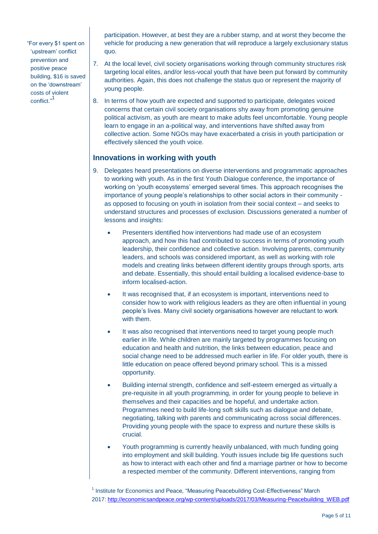"For every \$1 spent on 'upstream' conflict prevention and positive peace building, \$16 is saved on the 'downstream' costs of violent conflict." 1

participation. However, at best they are a rubber stamp, and at worst they become the vehicle for producing a new generation that will reproduce a largely exclusionary status quo.

- 7. At the local level, civil society organisations working through community structures risk targeting local elites, and/or less-vocal youth that have been put forward by community authorities. Again, this does not challenge the status quo or represent the majority of young people.
- 8. In terms of how youth are expected and supported to participate, delegates voiced concerns that certain civil society organisations shy away from promoting genuine political activism, as youth are meant to make adults feel uncomfortable. Young people learn to engage in an a-political way, and interventions have shifted away from collective action. Some NGOs may have exacerbated a crisis in youth participation or effectively silenced the youth voice.

#### **Innovations in working with youth**

- 9. Delegates heard presentations on diverse interventions and programmatic approaches to working with youth. As in the first Youth Dialogue conference, the importance of working on 'youth ecosystems' emerged several times. This approach recognises the importance of young people's relationships to other social actors in their community as opposed to focusing on youth in isolation from their social context – and seeks to understand structures and processes of exclusion. Discussions generated a number of lessons and insights:
	- Presenters identified how interventions had made use of an ecosystem approach, and how this had contributed to success in terms of promoting youth leadership, their confidence and collective action. Involving parents, community leaders, and schools was considered important, as well as working with role models and creating links between different identity groups through sports, arts and debate. Essentially, this should entail building a localised evidence-base to inform localised-action.
	- It was recognised that, if an ecosystem is important, interventions need to consider how to work with religious leaders as they are often influential in young people's lives. Many civil society organisations however are reluctant to work with them.
	- It was also recognised that interventions need to target young people much earlier in life. While children are mainly targeted by programmes focusing on education and health and nutrition, the links between education, peace and social change need to be addressed much earlier in life. For older youth, there is little education on peace offered beyond primary school. This is a missed opportunity.
	- Building internal strength, confidence and self-esteem emerged as virtually a pre-requisite in all youth programming, in order for young people to believe in themselves and their capacities and be hopeful, and undertake action. Programmes need to build life-long soft skills such as dialogue and debate, negotiating, talking with parents and communicating across social differences. Providing young people with the space to express and nurture these skills is crucial.
	- Youth programming is currently heavily unbalanced, with much funding going into employment and skill building. Youth issues include big life questions such as how to interact with each other and find a marriage partner or how to become a respected member of the community. Different interventions, ranging from

<sup>1</sup> Institute for Economics and Peace, "Measuring Peacebuilding Cost-Effectiveness" March 2017: [http://economicsandpeace.org/wp-content/uploads/2017/03/Measuring-Peacebuilding\\_WEB.pdf](http://economicsandpeace.org/wp-content/uploads/2017/03/Measuring-Peacebuilding_WEB.pdf)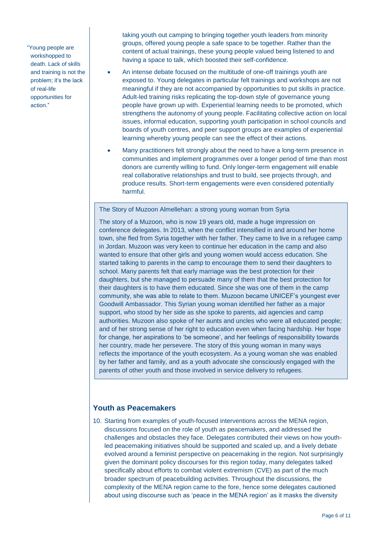"Young people are workshopped to death. Lack of skills and training is not the problem; it's the lack of real-life opportunities for action."

taking youth out camping to bringing together youth leaders from minority groups, offered young people a safe space to be together. Rather than the content of actual trainings, these young people valued being listened to and having a space to talk, which boosted their self-confidence.

- An intense debate focused on the multitude of one-off trainings youth are exposed to. Young delegates in particular felt trainings and workshops are not meaningful if they are not accompanied by opportunities to put skills in practice. Adult-led training risks replicating the top-down style of governance young people have grown up with. Experiential learning needs to be promoted, which strengthens the autonomy of young people. Facilitating collective action on local issues, informal education, supporting youth participation in school councils and boards of youth centres, and peer support groups are examples of experiential learning whereby young people can see the effect of their actions.
- Many practitioners felt strongly about the need to have a long-term presence in communities and implement programmes over a longer period of time than most donors are currently willing to fund. Only longer-term engagement will enable real collaborative relationships and trust to build, see projects through, and produce results. Short-term engagements were even considered potentially harmful.

The Story of Muzoon Almellehan: a strong young woman from Syria

The story of a Muzoon, who is now 19 years old, made a huge impression on conference delegates. In 2013, when the conflict intensified in and around her home town, she fled from Syria together with her father. They came to live in a refugee camp in Jordan. Muzoon was very keen to continue her education in the camp and also wanted to ensure that other girls and young women would access education. She started talking to parents in the camp to encourage them to send their daughters to school. Many parents felt that early marriage was the best protection for their daughters, but she managed to persuade many of them that the best protection for their daughters is to have them educated. Since she was one of them in the camp community, she was able to relate to them. Muzoon became UNICEF's youngest ever Goodwill Ambassador. This Syrian young woman identified her father as a major support, who stood by her side as she spoke to parents, aid agencies and camp authorities. Muzoon also spoke of her aunts and uncles who were all educated people; and of her strong sense of her right to education even when facing hardship. Her hope for change, her aspirations to 'be someone', and her feelings of responsibility towards her country, made her persevere. The story of this young woman in many ways reflects the importance of the youth ecosystem. As a young woman she was enabled by her father and family, and as a youth advocate she consciously engaged with the parents of other youth and those involved in service delivery to refugees.

#### **Youth as Peacemakers**

10. Starting from examples of youth-focused interventions across the MENA region, discussions focused on the role of youth as peacemakers, and addressed the challenges and obstacles they face. Delegates contributed their views on how youthled peacemaking initiatives should be supported and scaled up, and a lively debate evolved around a feminist perspective on peacemaking in the region. Not surprisingly given the dominant policy discourses for this region today, many delegates talked specifically about efforts to combat violent extremism (CVE) as part of the much broader spectrum of peacebuilding activities. Throughout the discussions, the complexity of the MENA region came to the fore, hence some delegates cautioned about using discourse such as 'peace in the MENA region' as it masks the diversity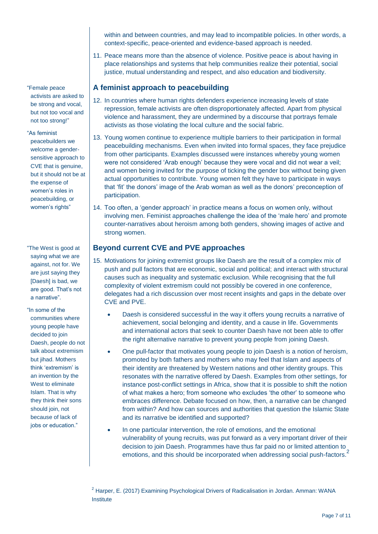within and between countries, and may lead to incompatible policies. In other words, a context-specific, peace-oriented and evidence-based approach is needed.

11. Peace means more than the absence of violence. Positive peace is about having in place relationships and systems that help communities realize their potential, social justice, mutual understanding and respect, and also education and biodiversity.

#### **A feminist approach to peacebuilding**

- 12. In countries where human rights defenders experience increasing levels of state repression, female activists are often disproportionately affected. Apart from physical violence and harassment, they are undermined by a discourse that portrays female activists as those violating the local culture and the social fabric.
- 13. Young women continue to experience multiple barriers to their participation in formal peacebuilding mechanisms. Even when invited into formal spaces, they face prejudice from other participants. Examples discussed were instances whereby young women were not considered 'Arab enough' because they were vocal and did not wear a veil; and women being invited for the purpose of ticking the gender box without being given actual opportunities to contribute. Young women felt they have to participate in ways that 'fit' the donors' image of the Arab woman as well as the donors' preconception of participation.
- 14. Too often, a 'gender approach' in practice means a focus on women only, without involving men. Feminist approaches challenge the idea of the 'male hero' and promote counter-narratives about heroism among both genders, showing images of active and strong women.

#### **Beyond current CVE and PVE approaches**

- 15. Motivations for joining extremist groups like Daesh are the result of a complex mix of push and pull factors that are economic, social and political; and interact with structural causes such as inequality and systematic exclusion. While recognising that the full complexity of violent extremism could not possibly be covered in one conference, delegates had a rich discussion over most recent insights and gaps in the debate over CVE and PVE.
	- Daesh is considered successful in the way it offers young recruits a narrative of achievement, social belonging and identity, and a cause in life. Governments and international actors that seek to counter Daesh have not been able to offer the right alternative narrative to prevent young people from joining Daesh.
	- One pull-factor that motivates young people to join Daesh is a notion of heroism, promoted by both fathers and mothers who may feel that Islam and aspects of their identity are threatened by Western nations and other identity groups. This resonates with the narrative offered by Daesh. Examples from other settings, for instance post-conflict settings in Africa, show that it is possible to shift the notion of what makes a hero; from someone who excludes 'the other' to someone who embraces difference. Debate focused on how, then, a narrative can be changed from within? And how can sources and authorities that question the Islamic State and its narrative be identified and supported?
	- In one particular intervention, the role of emotions, and the emotional vulnerability of young recruits, was put forward as a very important driver of their decision to join Daesh. Programmes have thus far paid no or limited attention to emotions, and this should be incorporated when addressing social push-factors.

"Female peace activists are asked to be strong and vocal, but not too vocal and not too strong!"

"As feminist peacebuilders we welcome a gendersensitive approach to CVE that is genuine, but it should not be at the expense of women's roles in peacebuilding, or

women's rights"

"The West is good at saying what we are against, not for. We are just saying they [Daesh] is bad, we are good. That's not a narrative".

"In some of the communities where young people have decided to join Daesh, people do not talk about extremism but jihad. Mothers think 'extremism' is an invention by the West to eliminate Islam. That is why they think their sons should join, not because of lack of jobs or education."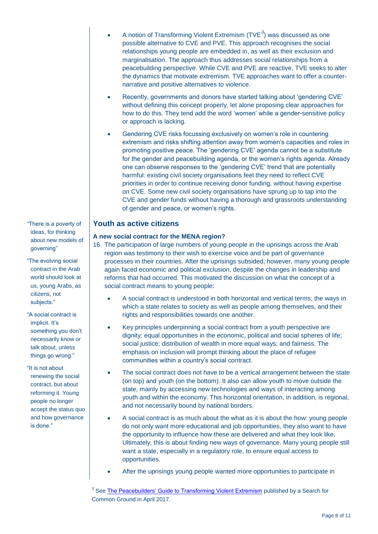- A notion of Transforming Violent Extremism (TVE $3$ ) was discussed as one possible alternative to CVE and PVE. This approach recognises the social relationships young people are embedded in, as well as their exclusion and marginalisation. The approach thus addresses social relationships from a peacebuilding perspective. While CVE and PVE are reactive, TVE seeks to alter the dynamics that motivate extremism. TVE approaches want to offer a counternarrative and positive alternatives to violence.
- Recently, governments and donors have started talking about 'gendering CVE' without defining this concept properly, let alone proposing clear approaches for how to do this. They tend add the word 'women' while a gender-sensitive policy or approach is lacking.
- Gendering CVE risks focussing exclusively on women's role in countering extremism and risks shifting attention away from women's capacities and roles in promoting positive peace. The 'gendering CVE' agenda cannot be a substitute for the gender and peacebuilding agenda, or the women's rights agenda. Already one can observe responses to the 'gendering CVE' trend that are potentially harmful: existing civil society organisations feel they need to reflect CVE priorities in order to continue receiving donor funding, without having expertise on CVE. Some new civil society organisations have sprung up to tap into the CVE and gender funds without having a thorough and grassroots understanding of gender and peace, or women's rights.

#### **Youth as active citizens**

#### **A new social contract for the MENA region?**

- 16. The participation of large numbers of young people in the uprisings across the Arab region was testimony to their wish to exercise voice and be part of governance processes in their countries. After the uprisings subsided, however, many young people again faced economic and political exclusion, despite the changes in leadership and reforms that had occurred. This motivated the discussion on what the concept of a social contract means to young people:
	- A social contract is understood in both horizontal and vertical terms; the ways in which a state relates to society as well as people among themselves, and their rights and responsibilities towards one another.
	- Key principles underpinning a social contract from a youth perspective are dignity; equal opportunities in the economic, political and social spheres of life; social justice; distribution of wealth in more equal ways; and fairness. The emphasis on inclusion will prompt thinking about the place of refugee communities within a country's social contract.
	- The social contract does not have to be a vertical arrangement between the state (on top) and youth (on the bottom). It also can allow youth to move outside the state, mainly by accessing new technologies and ways of interacting among youth and within the economy. This horizontal orientation, in addition, is regional, and not necessarily bound by national borders.
	- A social contract is as much about the what as it is about the how: young people do not only want more educational and job opportunities, they also want to have the opportunity to influence how these are delivered and what they look like. Ultimately, this is about finding new ways of governance. Many young people still want a state, especially in a regulatory role, to ensure equal access to opportunities.
	- After the uprisings young people wanted more opportunities to participate in

<sup>3</sup> See **[The Peacebuilders' Guide to Transforming Violent Extremism](https://www.sfcg.org/transforming-violent-extremism-peacebuilders-guide/)** published by a Search for Common Ground in April 2017.

"There is a poverty of ideas, for thinking about new models of governing"

- "The evolving social contract in the Arab world should look at us, young Arabs, as citizens, not subjects."
- "A social contract is implicit. It's something you don't necessarily know or talk about, unless things go wrong."

"It is not about renewing the social contract, but about reforming it. Young people no longer accept the status quo and how governance is done."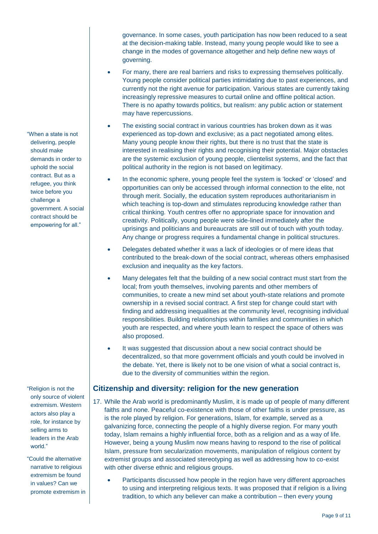governance. In some cases, youth participation has now been reduced to a seat at the decision-making table. Instead, many young people would like to see a change in the modes of governance altogether and help define new ways of governing.

- For many, there are real barriers and risks to expressing themselves politically. Young people consider political parties intimidating due to past experiences, and currently not the right avenue for participation. Various states are currently taking increasingly repressive measures to curtail online and offline political action. There is no apathy towards politics, but realism: any public action or statement may have repercussions.
- The existing social contract in various countries has broken down as it was experienced as top-down and exclusive; as a pact negotiated among elites. Many young people know their rights, but there is no trust that the state is interested in realising their rights and recognising their potential. Major obstacles are the systemic exclusion of young people, clientelist systems, and the fact that political authority in the region is not based on legitimacy.
- In the economic sphere, young people feel the system is 'locked' or 'closed' and opportunities can only be accessed through informal connection to the elite, not through merit. Socially, the education system reproduces authoritarianism in which teaching is top-down and stimulates reproducing knowledge rather than critical thinking. Youth centres offer no appropriate space for innovation and creativity. Politically, young people were side-lined immediately after the uprisings and politicians and bureaucrats are still out of touch with youth today. Any change or progress requires a fundamental change in political structures.
- Delegates debated whether it was a lack of ideologies or of mere ideas that contributed to the break-down of the social contract, whereas others emphasised exclusion and inequality as the key factors.
- Many delegates felt that the building of a new social contract must start from the local; from youth themselves, involving parents and other members of communities, to create a new mind set about youth-state relations and promote ownership in a revised social contract. A first step for change could start with finding and addressing inequalities at the community level, recognising individual responsibilities. Building relationships within families and communities in which youth are respected, and where youth learn to respect the space of others was also proposed.
- It was suggested that discussion about a new social contract should be decentralized, so that more government officials and youth could be involved in the debate. Yet, there is likely not to be one vision of what a social contract is, due to the diversity of communities within the region.

## **Citizenship and diversity: religion for the new generation**

- 17. While the Arab world is predominantly Muslim, it is made up of people of many different faiths and none. Peaceful co-existence with those of other faiths is under pressure, as is the role played by religion. For generations, Islam, for example, served as a galvanizing force, connecting the people of a highly diverse region. For many youth today, Islam remains a highly influential force, both as a religion and as a way of life. However, being a young Muslim now means having to respond to the rise of political Islam, pressure from secularization movements, manipulation of religious content by extremist groups and associated stereotyping as well as addressing how to co-exist with other diverse ethnic and religious groups.
	- Participants discussed how people in the region have very different approaches to using and interpreting religious texts. It was proposed that if religion is a living tradition, to which any believer can make a contribution – then every young

"When a state is not delivering, people should make demands in order to uphold the social contract. But as a refugee, you think twice before you challenge a government. A social contract should be empowering for all."

"Religion is not the only source of violent extremism. Western actors also play a role, for instance by selling arms to leaders in the Arab world."

"Could the alternative narrative to religious extremism be found in values? Can we promote extremism in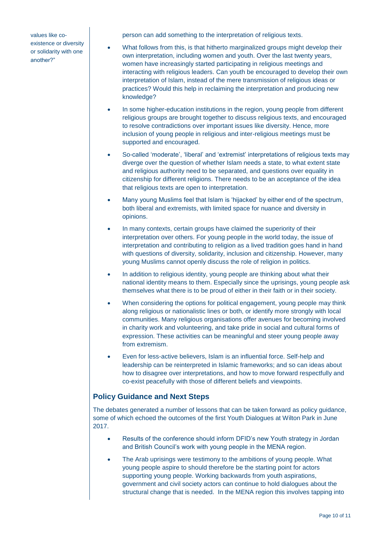values like coexistence or diversity or solidarity with one another?"

person can add something to the interpretation of religious texts.

- What follows from this, is that hitherto marginalized groups might develop their own interpretation, including women and youth. Over the last twenty years, women have increasingly started participating in religious meetings and interacting with religious leaders. Can youth be encouraged to develop their own interpretation of Islam, instead of the mere transmission of religious ideas or practices? Would this help in reclaiming the interpretation and producing new knowledge?
- In some higher-education institutions in the region, young people from different religious groups are brought together to discuss religious texts, and encouraged to resolve contradictions over important issues like diversity. Hence, more inclusion of young people in religious and inter-religious meetings must be supported and encouraged.
- So-called 'moderate', 'liberal' and 'extremist' interpretations of religious texts may diverge over the question of whether Islam needs a state, to what extent state and religious authority need to be separated, and questions over equality in citizenship for different religions. There needs to be an acceptance of the idea that religious texts are open to interpretation.
- Many young Muslims feel that Islam is 'hijacked' by either end of the spectrum, both liberal and extremists, with limited space for nuance and diversity in opinions.
- In many contexts, certain groups have claimed the superiority of their interpretation over others. For young people in the world today, the issue of interpretation and contributing to religion as a lived tradition goes hand in hand with questions of diversity, solidarity, inclusion and citizenship. However, many young Muslims cannot openly discuss the role of religion in politics.
- In addition to religious identity, young people are thinking about what their national identity means to them. Especially since the uprisings, young people ask themselves what there is to be proud of either in their faith or in their society.
- When considering the options for political engagement, young people may think along religious or nationalistic lines or both, or identify more strongly with local communities. Many religious organisations offer avenues for becoming involved in charity work and volunteering, and take pride in social and cultural forms of expression. These activities can be meaningful and steer young people away from extremism.
- Even for less-active believers, Islam is an influential force. Self-help and leadership can be reinterpreted in Islamic frameworks; and so can ideas about how to disagree over interpretations, and how to move forward respectfully and co-exist peacefully with those of different beliefs and viewpoints.

## **Policy Guidance and Next Steps**

The debates generated a number of lessons that can be taken forward as policy guidance, some of which echoed the outcomes of the first Youth Dialogues at Wilton Park in June 2017.

- Results of the conference should inform DFID's new Youth strategy in Jordan and British Council's work with young people in the MENA region.
- The Arab uprisings were testimony to the ambitions of young people. What young people aspire to should therefore be the starting point for actors supporting young people. Working backwards from youth aspirations, government and civil society actors can continue to hold dialogues about the structural change that is needed. In the MENA region this involves tapping into